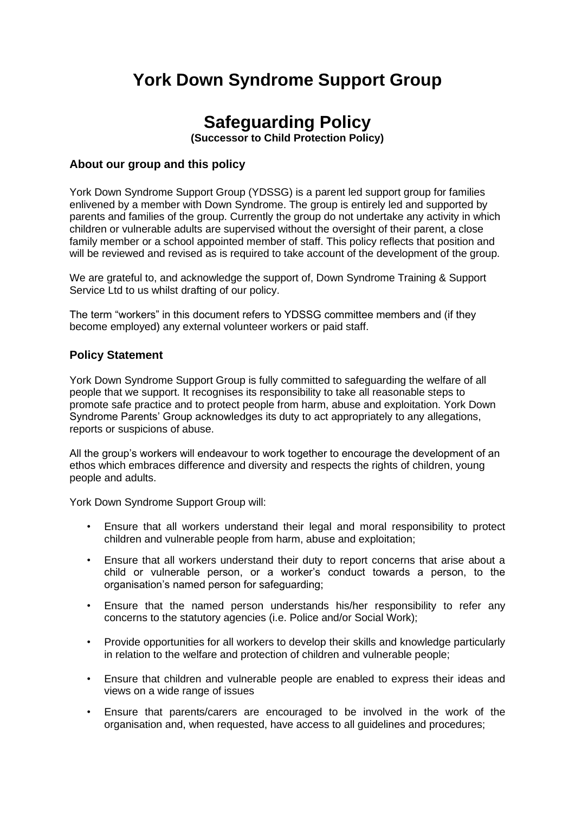## **York Down Syndrome Support Group**

## **Safeguarding Policy**

**(Successor to Child Protection Policy)**

#### **About our group and this policy**

York Down Syndrome Support Group (YDSSG) is a parent led support group for families enlivened by a member with Down Syndrome. The group is entirely led and supported by parents and families of the group. Currently the group do not undertake any activity in which children or vulnerable adults are supervised without the oversight of their parent, a close family member or a school appointed member of staff. This policy reflects that position and will be reviewed and revised as is required to take account of the development of the group.

We are grateful to, and acknowledge the support of, Down Syndrome Training & Support Service Ltd to us whilst drafting of our policy.

The term "workers" in this document refers to YDSSG committee members and (if they become employed) any external volunteer workers or paid staff.

#### **Policy Statement**

York Down Syndrome Support Group is fully committed to safeguarding the welfare of all people that we support. It recognises its responsibility to take all reasonable steps to promote safe practice and to protect people from harm, abuse and exploitation. York Down Syndrome Parents' Group acknowledges its duty to act appropriately to any allegations, reports or suspicions of abuse.

All the group's workers will endeavour to work together to encourage the development of an ethos which embraces difference and diversity and respects the rights of children, young people and adults.

York Down Syndrome Support Group will:

- Ensure that all workers understand their legal and moral responsibility to protect children and vulnerable people from harm, abuse and exploitation;
- Ensure that all workers understand their duty to report concerns that arise about a child or vulnerable person, or a worker's conduct towards a person, to the organisation's named person for safeguarding;
- Ensure that the named person understands his/her responsibility to refer any concerns to the statutory agencies (i.e. Police and/or Social Work);
- Provide opportunities for all workers to develop their skills and knowledge particularly in relation to the welfare and protection of children and vulnerable people;
- Ensure that children and vulnerable people are enabled to express their ideas and views on a wide range of issues
- Ensure that parents/carers are encouraged to be involved in the work of the organisation and, when requested, have access to all guidelines and procedures;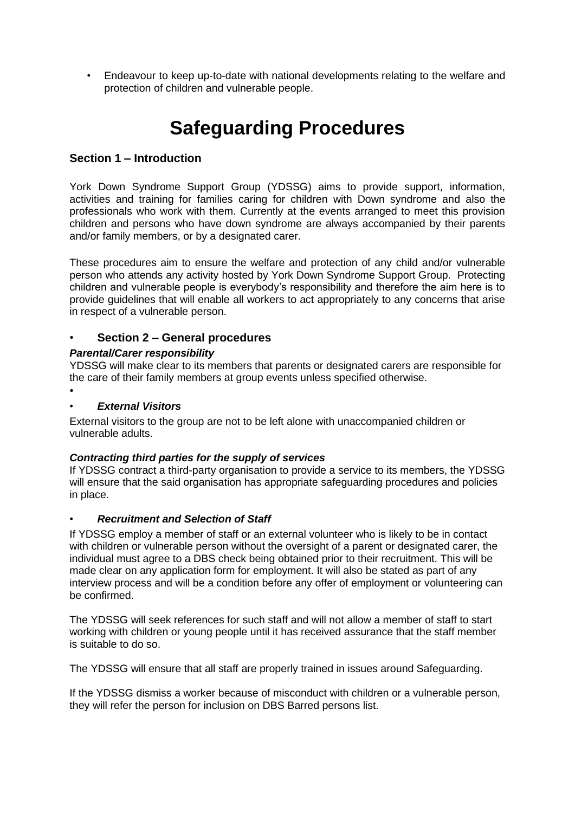• Endeavour to keep up-to-date with national developments relating to the welfare and protection of children and vulnerable people.

# **Safeguarding Procedures**

## **Section 1 – Introduction**

York Down Syndrome Support Group (YDSSG) aims to provide support, information, activities and training for families caring for children with Down syndrome and also the professionals who work with them. Currently at the events arranged to meet this provision children and persons who have down syndrome are always accompanied by their parents and/or family members, or by a designated carer.

These procedures aim to ensure the welfare and protection of any child and/or vulnerable person who attends any activity hosted by York Down Syndrome Support Group. Protecting children and vulnerable people is everybody's responsibility and therefore the aim here is to provide guidelines that will enable all workers to act appropriately to any concerns that arise in respect of a vulnerable person.

#### • **Section 2 – General procedures**

#### *Parental/Carer responsibility*

YDSSG will make clear to its members that parents or designated carers are responsible for the care of their family members at group events unless specified otherwise.

#### • *External Visitors*

•

External visitors to the group are not to be left alone with unaccompanied children or vulnerable adults.

#### *Contracting third parties for the supply of services*

If YDSSG contract a third-party organisation to provide a service to its members, the YDSSG will ensure that the said organisation has appropriate safeguarding procedures and policies in place.

#### • *Recruitment and Selection of Staff*

If YDSSG employ a member of staff or an external volunteer who is likely to be in contact with children or vulnerable person without the oversight of a parent or designated carer, the individual must agree to a DBS check being obtained prior to their recruitment. This will be made clear on any application form for employment. It will also be stated as part of any interview process and will be a condition before any offer of employment or volunteering can be confirmed.

The YDSSG will seek references for such staff and will not allow a member of staff to start working with children or young people until it has received assurance that the staff member is suitable to do so.

The YDSSG will ensure that all staff are properly trained in issues around Safeguarding.

If the YDSSG dismiss a worker because of misconduct with children or a vulnerable person, they will refer the person for inclusion on DBS Barred persons list.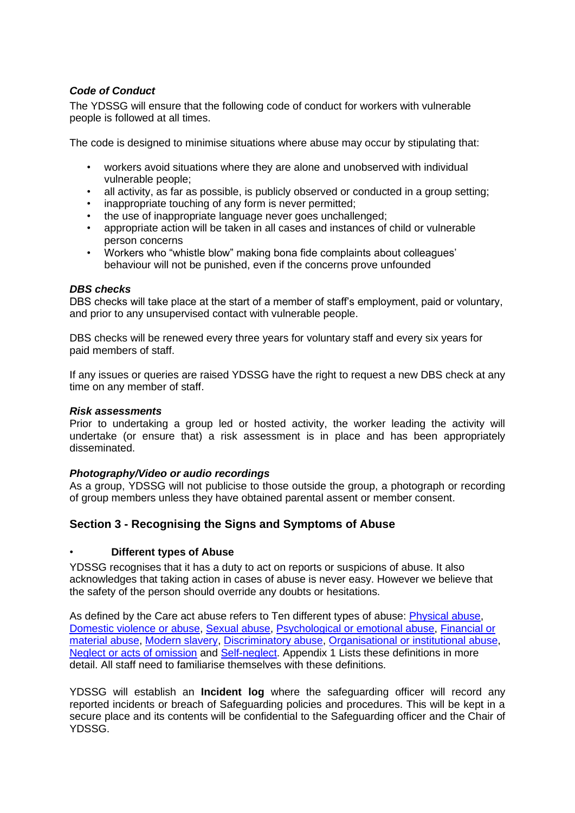#### *Code of Conduct*

The YDSSG will ensure that the following code of conduct for workers with vulnerable people is followed at all times.

The code is designed to minimise situations where abuse may occur by stipulating that:

- workers avoid situations where they are alone and unobserved with individual vulnerable people;
- all activity, as far as possible, is publicly observed or conducted in a group setting;
- inappropriate touching of any form is never permitted;
- the use of inappropriate language never goes unchallenged;
- appropriate action will be taken in all cases and instances of child or vulnerable person concerns
- Workers who "whistle blow" making bona fide complaints about colleagues' behaviour will not be punished, even if the concerns prove unfounded

#### *DBS checks*

DBS checks will take place at the start of a member of staff's employment, paid or voluntary, and prior to any unsupervised contact with vulnerable people.

DBS checks will be renewed every three years for voluntary staff and every six years for paid members of staff.

If any issues or queries are raised YDSSG have the right to request a new DBS check at any time on any member of staff.

#### *Risk assessments*

Prior to undertaking a group led or hosted activity, the worker leading the activity will undertake (or ensure that) a risk assessment is in place and has been appropriately disseminated.

#### *Photography/Video or audio recordings*

As a group, YDSSG will not publicise to those outside the group, a photograph or recording of group members unless they have obtained parental assent or member consent.

#### **Section 3 - Recognising the Signs and Symptoms of Abuse**

#### • **Different types of Abuse**

YDSSG recognises that it has a duty to act on reports or suspicions of abuse. It also acknowledges that taking action in cases of abuse is never easy. However we believe that the safety of the person should override any doubts or hesitations.

As defined by the Care act abuse refers to Ten different types of abuse: [Physical abuse,](https://www.scie.org.uk/safeguarding/adults/introduction/types-and-indicators-of-abuse) [Domestic violence or abuse, Sexual abuse, Psychological or emotional abuse, Financial or](https://www.scie.org.uk/safeguarding/adults/introduction/types-and-indicators-of-abuse)  [material abuse, Modern slavery, Discriminatory abuse, Organisational or institutional abuse,](https://www.scie.org.uk/safeguarding/adults/introduction/types-and-indicators-of-abuse) [Neglect or acts of omission](https://www.scie.org.uk/safeguarding/adults/introduction/types-and-indicators-of-abuse) and [Self-neglect.](https://www.scie.org.uk/safeguarding/adults/introduction/types-and-indicators-of-abuse) Appendix 1 Lists these definitions in more detail. All staff need to familiarise themselves with these definitions.

YDSSG will establish an **Incident log** where the safeguarding officer will record any reported incidents or breach of Safeguarding policies and procedures. This will be kept in a secure place and its contents will be confidential to the Safeguarding officer and the Chair of YDSSG.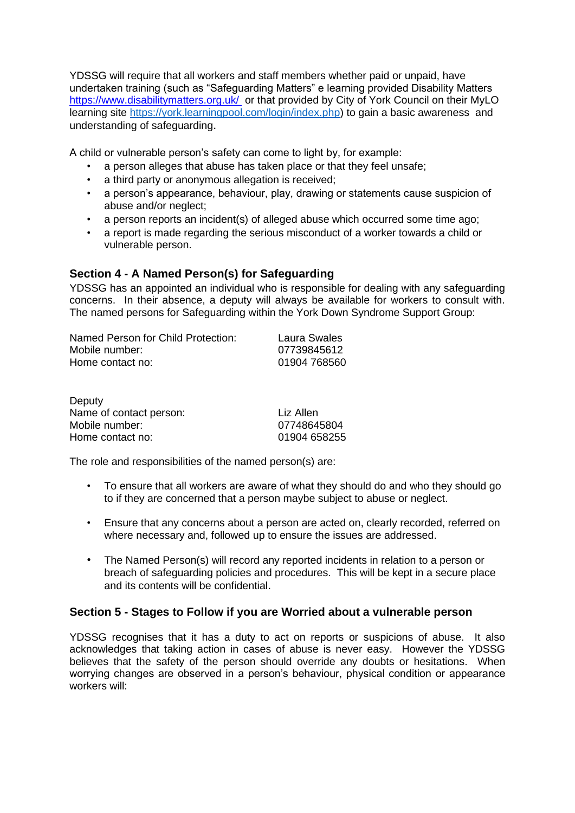YDSSG will require that all workers and staff members whether paid or unpaid, have undertaken training (such as "Safeguarding Matters" e learning provided Disability Matters <https://www.disabilitymatters.org.uk/> or that provided by City of York Council on their MyLO learning site [https://york.learningpool.com/login/index.php\)](https://york.learningpool.com/login/index.php) to gain a basic awareness and understanding of safeguarding.

A child or vulnerable person's safety can come to light by, for example:

- a person alleges that abuse has taken place or that they feel unsafe;
- a third party or anonymous allegation is received:
- a person's appearance, behaviour, play, drawing or statements cause suspicion of abuse and/or neglect;
- a person reports an incident(s) of alleged abuse which occurred some time ago;
- a report is made regarding the serious misconduct of a worker towards a child or vulnerable person.

## **Section 4 - A Named Person(s) for Safeguarding**

YDSSG has an appointed an individual who is responsible for dealing with any safeguarding concerns. In their absence, a deputy will always be available for workers to consult with. The named persons for Safeguarding within the York Down Syndrome Support Group:

| Named Person for Child Protection: | Laura Swales |
|------------------------------------|--------------|
| Mobile number:                     | 07739845612  |
| Home contact no:                   | 01904 768560 |

| Deputy                  |              |
|-------------------------|--------------|
| Name of contact person: | Liz Allen    |
| Mobile number:          | 07748645804  |
| Home contact no:        | 01904 658255 |

The role and responsibilities of the named person(s) are:

- To ensure that all workers are aware of what they should do and who they should go to if they are concerned that a person maybe subject to abuse or neglect.
- Ensure that any concerns about a person are acted on, clearly recorded, referred on where necessary and, followed up to ensure the issues are addressed.
- The Named Person(s) will record any reported incidents in relation to a person or breach of safeguarding policies and procedures. This will be kept in a secure place and its contents will be confidential.

## **Section 5 - Stages to Follow if you are Worried about a vulnerable person**

YDSSG recognises that it has a duty to act on reports or suspicions of abuse. It also acknowledges that taking action in cases of abuse is never easy. However the YDSSG believes that the safety of the person should override any doubts or hesitations. When worrying changes are observed in a person's behaviour, physical condition or appearance workers will: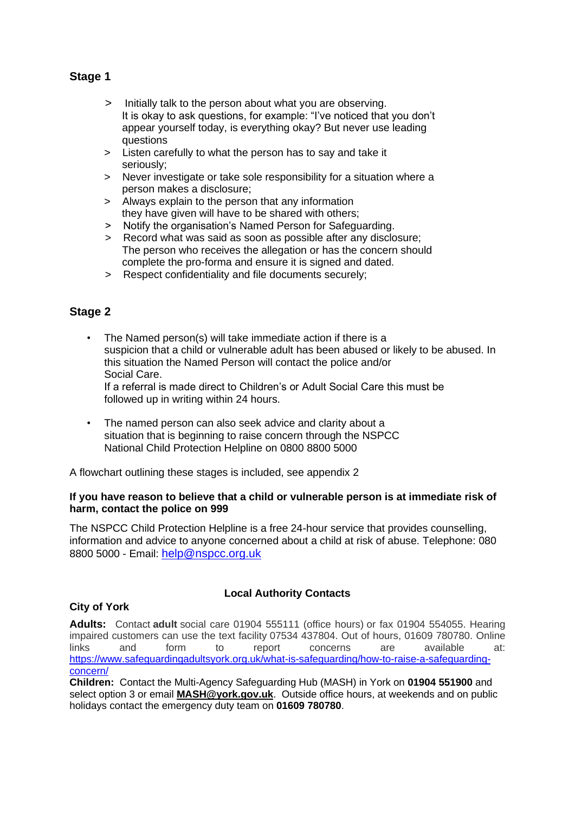## **Stage 1**

- > Initially talk to the person about what you are observing. It is okay to ask questions, for example: "I've noticed that you don't appear yourself today, is everything okay? But never use leading questions
- > Listen carefully to what the person has to say and take it seriously;
- > Never investigate or take sole responsibility for a situation where a person makes a disclosure;
- > Always explain to the person that any information they have given will have to be shared with others;
- > Notify the organisation's Named Person for Safeguarding.
- > Record what was said as soon as possible after any disclosure; The person who receives the allegation or has the concern should complete the pro-forma and ensure it is signed and dated.
- > Respect confidentiality and file documents securely;

## **Stage 2**

- The Named person(s) will take immediate action if there is a suspicion that a child or vulnerable adult has been abused or likely to be abused. In this situation the Named Person will contact the police and/or Social Care. If a referral is made direct to Children's or Adult Social Care this must be followed up in writing within 24 hours.
- The named person can also seek advice and clarity about a situation that is beginning to raise concern through the NSPCC National Child Protection Helpline on 0800 8800 5000

A flowchart outlining these stages is included, see appendix 2

#### **If you have reason to believe that a child or vulnerable person is at immediate risk of harm, contact the police on 999**

The NSPCC Child Protection Helpline is a free 24-hour service that provides counselling, information and advice to anyone concerned about a child at risk of abuse. Telephone: 080 8800 5000 - Email: [help@nspcc.org.uk](mailto:help@nspcc.org.uk)

#### **City of York**

#### **Local Authority Contacts**

**Adults:** Contact **adult** social care 01904 555111 (office hours) or fax 01904 554055. Hearing impaired customers can use the text facility 07534 437804. Out of hours, 01609 780780. Online links and form to report concerns are available at: [https://www.safeguardingadultsyork.org.uk/what-is-safeguarding/how-to-raise-a-safeguarding](https://www.safeguardingadultsyork.org.uk/what-is-safeguarding/how-to-raise-a-safeguarding-concern/)[concern/](https://www.safeguardingadultsyork.org.uk/what-is-safeguarding/how-to-raise-a-safeguarding-concern/)

**Children:** Contact the Multi-Agency Safeguarding Hub (MASH) in York on **01904 551900** and select option 3 or email **[MASH@york.gov.uk](mailto:childrensfrontdoor@york.gov.uk)**. Outside office hours, at weekends and on public holidays contact the emergency duty team on **01609 780780**.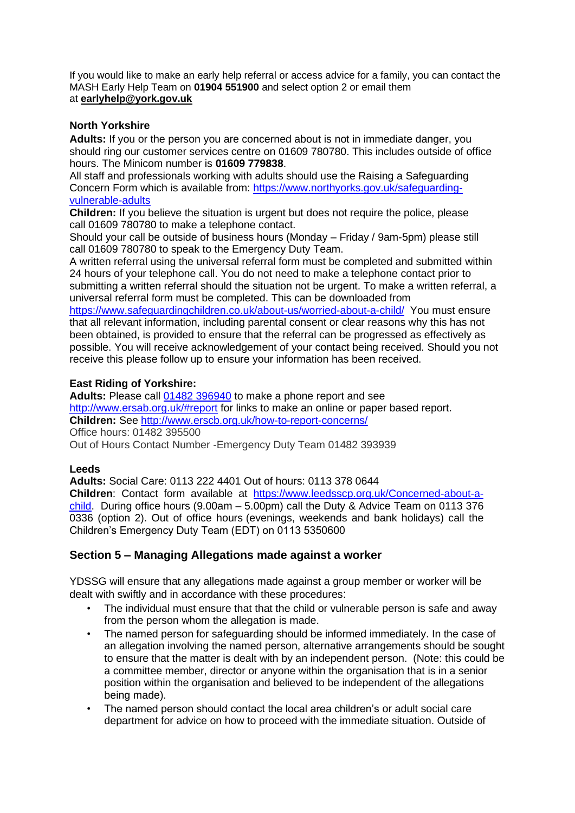If you would like to make an early help referral or access advice for a family, you can contact the MASH Early Help Team on **01904 551900** and select option 2 or email them at **[earlyhelp@york.gov.uk](mailto:earlyhelp@york.gov.uk)**

#### **North Yorkshire**

**Adults:** If you or the person you are concerned about is not in immediate danger, you should ring our customer services centre on 01609 780780. This includes outside of office hours. The Minicom number is **01609 779838**.

All staff and professionals working with adults should use the Raising a Safeguarding Concern Form which is available from: [https://www.northyorks.gov.uk/safeguarding](https://www.northyorks.gov.uk/safeguarding-vulnerable-adults)[vulnerable-adults](https://www.northyorks.gov.uk/safeguarding-vulnerable-adults)

**Children:** If you believe the situation is urgent but does not require the police, please call 01609 780780 to make a telephone contact.

Should your call be outside of business hours (Monday – Friday / 9am-5pm) please still call 01609 780780 to speak to the Emergency Duty Team.

A written referral using the universal referral form must be completed and submitted within 24 hours of your telephone call. You do not need to make a telephone contact prior to submitting a written referral should the situation not be urgent. To make a written referral, a universal referral form must be completed. This can be downloaded from

<https://www.safeguardingchildren.co.uk/about-us/worried-about-a-child/>You must ensure that all relevant information, including parental consent or clear reasons why this has not been obtained, is provided to ensure that the referral can be progressed as effectively as possible. You will receive acknowledgement of your contact being received. Should you not receive this please follow up to ensure your information has been received.

#### **East Riding of Yorkshire:**

**Adults:** Please call [01482 396940](tel:+441482396940) to make a phone report and see <http://www.ersab.org.uk/#report> for links to make an online or paper based report. **Children:** See<http://www.erscb.org.uk/how-to-report-concerns/> Office hours: 01482 395500 Out of Hours Contact Number -Emergency Duty Team 01482 393939

#### **Leeds**

**Adults:** Social Care: 0113 222 4401 Out of hours: 0113 378 0644 **Children**: Contact form available at [https://www.leedsscp.org.uk/Concerned-about-a](https://www.leedsscp.org.uk/Concerned-about-a-child)[child.](https://www.leedsscp.org.uk/Concerned-about-a-child) During office hours (9.00am – 5.00pm) call the Duty & Advice Team on 0113 376 0336 (option 2). Out of office hours (evenings, weekends and bank holidays) call the Children's Emergency Duty Team (EDT) on 0113 5350600

## **Section 5 – Managing Allegations made against a worker**

YDSSG will ensure that any allegations made against a group member or worker will be dealt with swiftly and in accordance with these procedures:

- The individual must ensure that that the child or vulnerable person is safe and away from the person whom the allegation is made.
- The named person for safeguarding should be informed immediately. In the case of an allegation involving the named person, alternative arrangements should be sought to ensure that the matter is dealt with by an independent person. (Note: this could be a committee member, director or anyone within the organisation that is in a senior position within the organisation and believed to be independent of the allegations being made).
- The named person should contact the local area children's or adult social care department for advice on how to proceed with the immediate situation. Outside of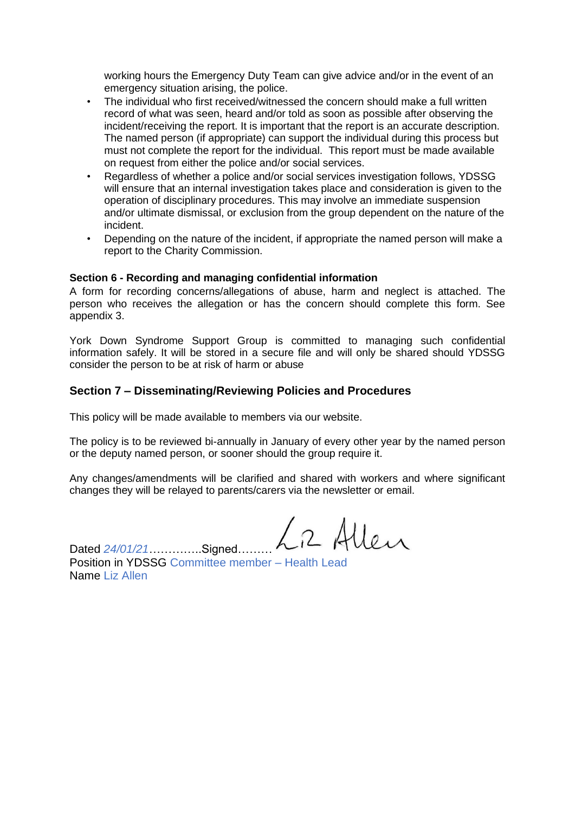working hours the Emergency Duty Team can give advice and/or in the event of an emergency situation arising, the police.

- The individual who first received/witnessed the concern should make a full written record of what was seen, heard and/or told as soon as possible after observing the incident/receiving the report. It is important that the report is an accurate description. The named person (if appropriate) can support the individual during this process but must not complete the report for the individual. This report must be made available on request from either the police and/or social services.
- Regardless of whether a police and/or social services investigation follows, YDSSG will ensure that an internal investigation takes place and consideration is given to the operation of disciplinary procedures. This may involve an immediate suspension and/or ultimate dismissal, or exclusion from the group dependent on the nature of the incident.
- Depending on the nature of the incident, if appropriate the named person will make a report to the Charity Commission.

#### **Section 6 - Recording and managing confidential information**

A form for recording concerns/allegations of abuse, harm and neglect is attached. The person who receives the allegation or has the concern should complete this form. See appendix 3.

York Down Syndrome Support Group is committed to managing such confidential information safely. It will be stored in a secure file and will only be shared should YDSSG consider the person to be at risk of harm or abuse

#### **Section 7 – Disseminating/Reviewing Policies and Procedures**

This policy will be made available to members via our website.

The policy is to be reviewed bi-annually in January of every other year by the named person or the deputy named person, or sooner should the group require it.

Any changes/amendments will be clarified and shared with workers and where significant changes they will be relayed to parents/carers via the newsletter or email.

L2 Allen

Dated  $24/01/21$  .............Signed... Position in YDSSG Committee member – Health Lead Name Liz Allen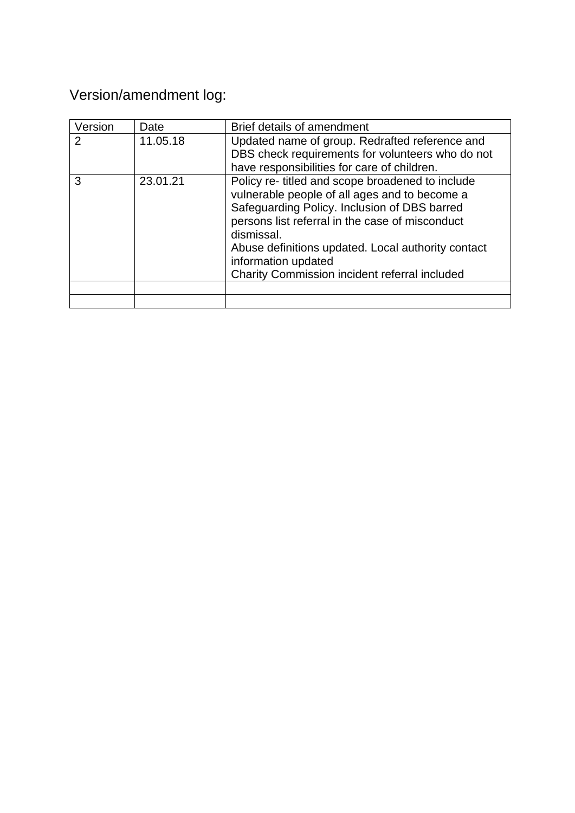# Version/amendment log:

| Version | Date     | Brief details of amendment                                                                                                                                                                                                                                                                                                                       |
|---------|----------|--------------------------------------------------------------------------------------------------------------------------------------------------------------------------------------------------------------------------------------------------------------------------------------------------------------------------------------------------|
| 2       | 11.05.18 | Updated name of group. Redrafted reference and<br>DBS check requirements for volunteers who do not<br>have responsibilities for care of children.                                                                                                                                                                                                |
| 3       | 23.01.21 | Policy re- titled and scope broadened to include<br>vulnerable people of all ages and to become a<br>Safeguarding Policy. Inclusion of DBS barred<br>persons list referral in the case of misconduct<br>dismissal.<br>Abuse definitions updated. Local authority contact<br>information updated<br>Charity Commission incident referral included |
|         |          |                                                                                                                                                                                                                                                                                                                                                  |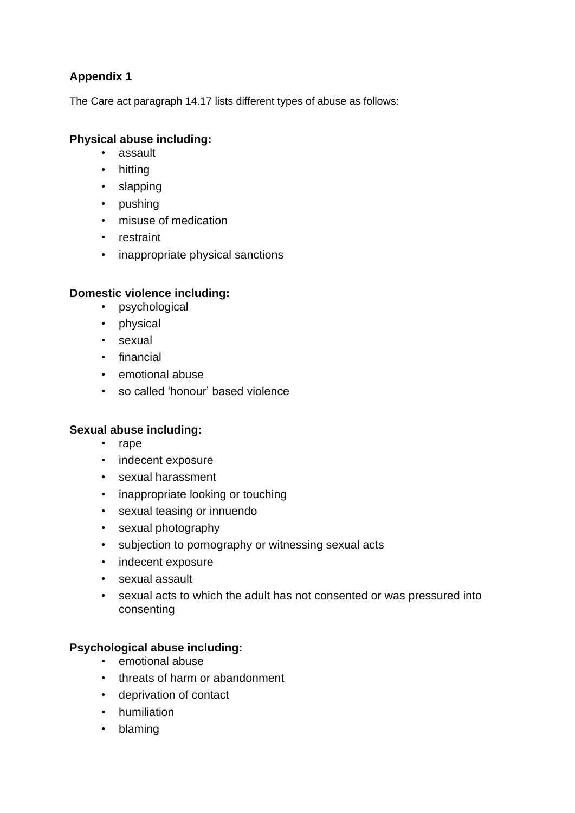## **Appendix 1**

The Care act paragraph 14.17 lists different types of abuse as follows:

## **Physical abuse including:**

- assault
- hitting
- slapping
- pushing
- misuse of medication
- restraint
- inappropriate physical sanctions

## **Domestic violence including:**

- psychological
- physical
- sexual
- financial
- emotional abuse
- so called 'honour' based violence

## **Sexual abuse including:**

- rape
- indecent exposure
- sexual harassment
- inappropriate looking or touching
- sexual teasing or innuendo
- sexual photography
- subjection to pornography or witnessing sexual acts
- indecent exposure
- sexual assault
- sexual acts to which the adult has not consented or was pressured into consenting

## **Psychological abuse including:**

- emotional abuse
- threats of harm or abandonment
- deprivation of contact
- humiliation
- blaming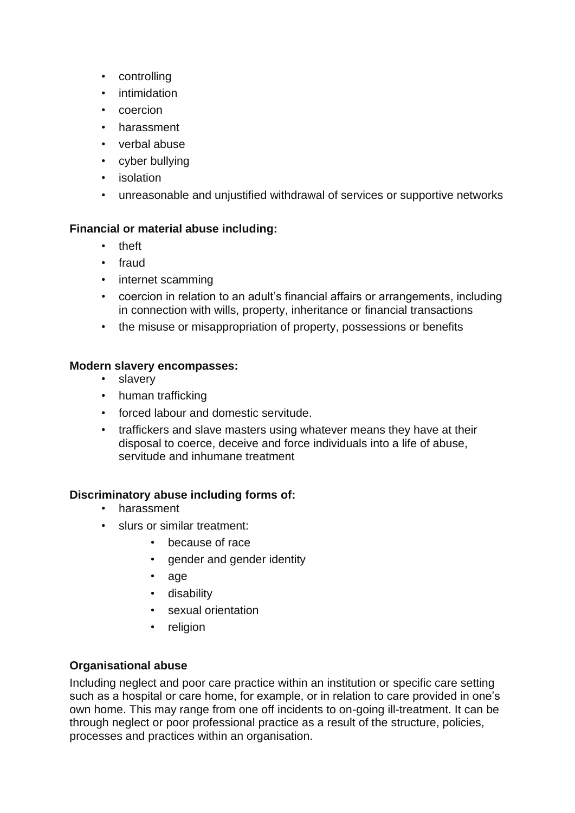- controlling
- intimidation
- coercion
- harassment
- verbal abuse
- cyber bullying
- isolation
- unreasonable and unjustified withdrawal of services or supportive networks

## **Financial or material abuse including:**

- theft
- fraud
- internet scamming
- coercion in relation to an adult's financial affairs or arrangements, including in connection with wills, property, inheritance or financial transactions
- the misuse or misappropriation of property, possessions or benefits

## **Modern slavery encompasses:**

- slavery
- human trafficking
- forced labour and domestic servitude.
- traffickers and slave masters using whatever means they have at their disposal to coerce, deceive and force individuals into a life of abuse, servitude and inhumane treatment

## **Discriminatory abuse including forms of:**

- harassment
- slurs or similar treatment:
	- because of race
	- gender and gender identity
	- age
	- disability
	- sexual orientation
	- religion

## **Organisational abuse**

Including neglect and poor care practice within an institution or specific care setting such as a hospital or care home, for example, or in relation to care provided in one's own home. This may range from one off incidents to on-going ill-treatment. It can be through neglect or poor professional practice as a result of the structure, policies, processes and practices within an organisation.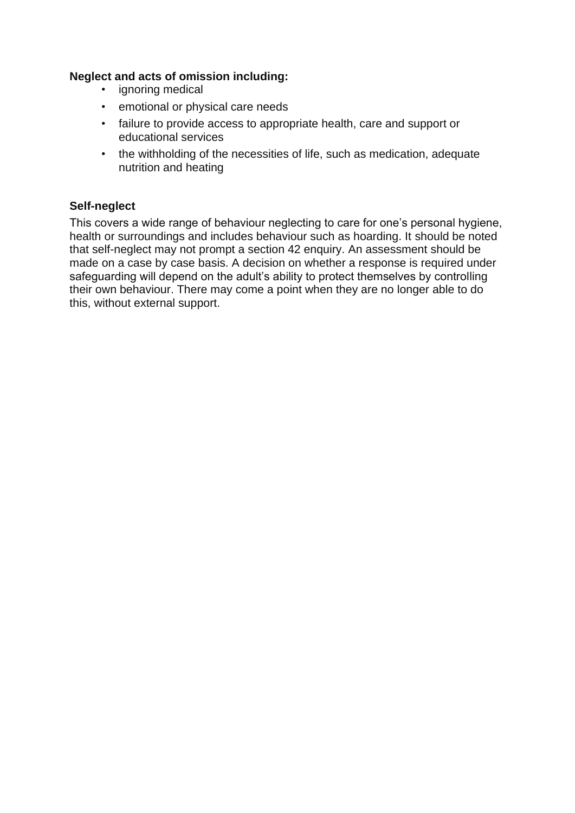## **Neglect and acts of omission including:**

- ignoring medical
- emotional or physical care needs
- failure to provide access to appropriate health, care and support or educational services
- the withholding of the necessities of life, such as medication, adequate nutrition and heating

## **Self-neglect**

This covers a wide range of behaviour neglecting to care for one's personal hygiene, health or surroundings and includes behaviour such as hoarding. It should be noted that self-neglect may not prompt a section 42 enquiry. An assessment should be made on a case by case basis. A decision on whether a response is required under safeguarding will depend on the adult's ability to protect themselves by controlling their own behaviour. There may come a point when they are no longer able to do this, without external support.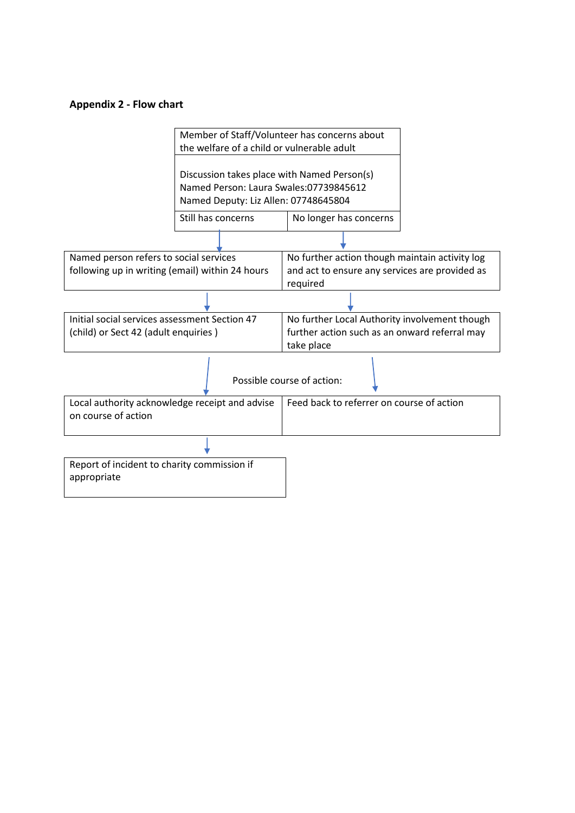#### **Appendix 2 - Flow chart**

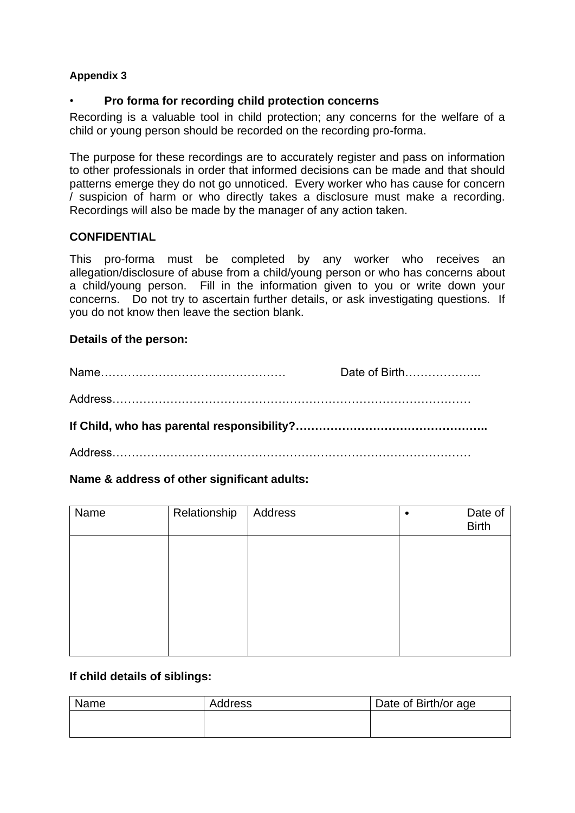## **Appendix 3**

## • **Pro forma for recording child protection concerns**

Recording is a valuable tool in child protection; any concerns for the welfare of a child or young person should be recorded on the recording pro-forma.

The purpose for these recordings are to accurately register and pass on information to other professionals in order that informed decisions can be made and that should patterns emerge they do not go unnoticed. Every worker who has cause for concern / suspicion of harm or who directly takes a disclosure must make a recording. Recordings will also be made by the manager of any action taken.

## **CONFIDENTIAL**

This pro-forma must be completed by any worker who receives an allegation/disclosure of abuse from a child/young person or who has concerns about a child/young person. Fill in the information given to you or write down your concerns. Do not try to ascertain further details, or ask investigating questions. If you do not know then leave the section blank.

## **Details of the person:**

|                | Date of Birth |
|----------------|---------------|
|                |               |
|                |               |
| <b>Address</b> |               |

## **Name & address of other significant adults:**

| Name | Relationship | Address | Date of<br>Birth |
|------|--------------|---------|------------------|
|      |              |         |                  |
|      |              |         |                  |
|      |              |         |                  |
|      |              |         |                  |

## **If child details of siblings:**

| Name | Address | Date of Birth/or age |
|------|---------|----------------------|
|      |         |                      |
|      |         |                      |